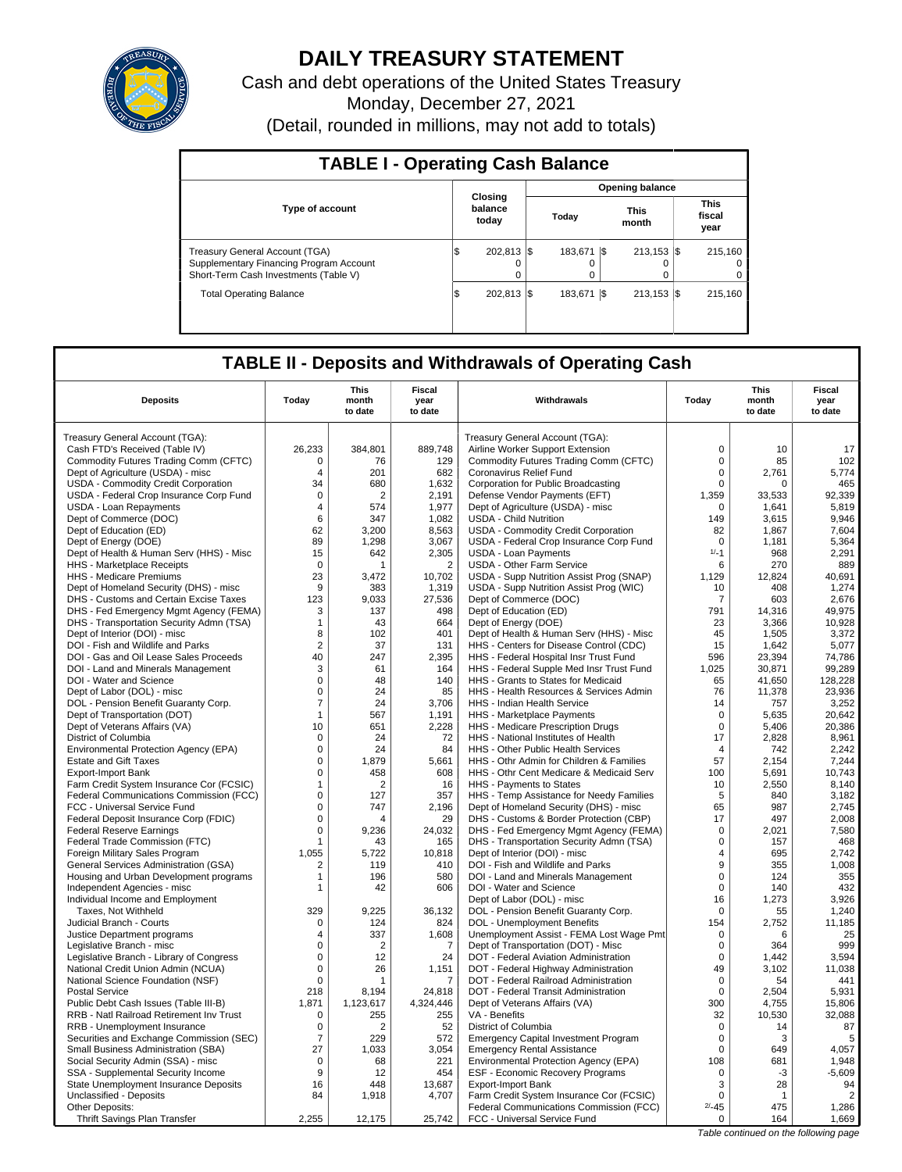

# **DAILY TREASURY STATEMENT**

Cash and debt operations of the United States Treasury Monday, December 27, 2021 (Detail, rounded in millions, may not add to totals)

| <b>TABLE I - Operating Cash Balance</b>                                                                                   |                             |                        |                     |      |                           |  |                                   |  |  |  |
|---------------------------------------------------------------------------------------------------------------------------|-----------------------------|------------------------|---------------------|------|---------------------------|--|-----------------------------------|--|--|--|
|                                                                                                                           |                             | <b>Opening balance</b> |                     |      |                           |  |                                   |  |  |  |
| <b>Type of account</b>                                                                                                    | Closing<br>balance<br>today |                        | Today               |      | <b>This</b><br>month      |  | This<br>fiscal<br>year            |  |  |  |
| <b>Treasury General Account (TGA)</b><br>Supplementary Financing Program Account<br>Short-Term Cash Investments (Table V) | 202.813 \\$<br>l\$<br>0     |                        | 183.671<br>$\Omega$ | - IS | $213.153$ $\sqrt{5}$<br>0 |  | 215.160<br>$^{\circ}$<br>$\Omega$ |  |  |  |
| <b>Total Operating Balance</b>                                                                                            | 202.813 \\$<br>1\$          |                        | 183.671             | -1\$ | $213.153$ $\sqrt{5}$      |  | 215,160                           |  |  |  |

## **TABLE II - Deposits and Withdrawals of Operating Cash**

|                                                                       |                            | <b>This</b>      | <b>Fiscal</b>   |                                                                                |                         | <b>This</b>                           | <b>Fiscal</b>     |
|-----------------------------------------------------------------------|----------------------------|------------------|-----------------|--------------------------------------------------------------------------------|-------------------------|---------------------------------------|-------------------|
| <b>Deposits</b>                                                       | Today                      | month<br>to date | year<br>to date | Withdrawals                                                                    | Today                   | month<br>to date                      | year<br>to date   |
| Treasury General Account (TGA):                                       |                            |                  |                 | Treasury General Account (TGA):                                                |                         |                                       |                   |
| Cash FTD's Received (Table IV)                                        | 26,233                     | 384,801          | 889,748         | Airline Worker Support Extension                                               | $\mathbf 0$             | 10                                    | 17                |
| Commodity Futures Trading Comm (CFTC)                                 | $\Omega$                   | 76               | 129             | Commodity Futures Trading Comm (CFTC)                                          | $\Omega$                | 85                                    | 102               |
| Dept of Agriculture (USDA) - misc                                     | $\overline{4}$             | 201              | 682             | Coronavirus Relief Fund                                                        | 0                       | 2,761                                 | 5,774             |
| USDA - Commodity Credit Corporation                                   | 34                         | 680              | 1,632           | Corporation for Public Broadcasting                                            | 0                       | $\Omega$                              | 465               |
| USDA - Federal Crop Insurance Corp Fund                               | $\Omega$                   | $\overline{2}$   | 2,191           | Defense Vendor Payments (EFT)                                                  | 1,359                   | 33,533                                | 92,339            |
| USDA - Loan Repayments                                                | 4                          | 574              | 1,977           | Dept of Agriculture (USDA) - misc                                              | $\Omega$                | 1,641                                 | 5,819             |
| Dept of Commerce (DOC)                                                | 6                          | 347              | 1,082           | <b>USDA - Child Nutrition</b>                                                  | 149                     | 3,615                                 | 9,946             |
| Dept of Education (ED)                                                | 62                         | 3.200            | 8,563           | USDA - Commodity Credit Corporation                                            | 82                      | 1.867                                 | 7.604             |
| Dept of Energy (DOE)                                                  | 89                         | 1,298            | 3,067           | USDA - Federal Crop Insurance Corp Fund                                        | $\Omega$                | 1,181                                 | 5,364             |
| Dept of Health & Human Serv (HHS) - Misc                              | 15                         | 642              | 2,305           | <b>USDA - Loan Payments</b>                                                    | $1/-1$                  | 968                                   | 2,291             |
| HHS - Marketplace Receipts                                            | $\mathbf 0$                |                  | $\overline{2}$  | <b>USDA - Other Farm Service</b>                                               | 6                       | 270                                   | 889               |
| HHS - Medicare Premiums                                               | 23                         | 3.472            | 10,702          | USDA - Supp Nutrition Assist Prog (SNAP)                                       | 1,129                   | 12.824                                | 40.691            |
| Dept of Homeland Security (DHS) - misc                                | 9                          | 383              | 1,319           | USDA - Supp Nutrition Assist Prog (WIC)                                        | 10                      | 408                                   | 1,274             |
| DHS - Customs and Certain Excise Taxes                                | 123                        | 9.033            | 27,536          | Dept of Commerce (DOC)                                                         | 7                       | 603                                   | 2.676             |
| DHS - Fed Emergency Mgmt Agency (FEMA)                                | 3                          | 137              | 498             | Dept of Education (ED)                                                         | 791                     | 14,316                                | 49,975            |
| DHS - Transportation Security Admn (TSA)                              | $\mathbf{1}$               | 43               | 664             | Dept of Energy (DOE)                                                           | 23                      | 3,366                                 | 10,928            |
| Dept of Interior (DOI) - misc                                         | 8                          | 102              | 401             | Dept of Health & Human Serv (HHS) - Misc                                       | 45                      | 1,505                                 | 3,372             |
| DOI - Fish and Wildlife and Parks                                     | $\overline{2}$             | 37               | 131             | HHS - Centers for Disease Control (CDC)                                        | 15                      | 1,642                                 | 5.077             |
| DOI - Gas and Oil Lease Sales Proceeds                                | 40                         | 247              | 2,395           | HHS - Federal Hospital Insr Trust Fund                                         | 596                     | 23,394                                | 74,786            |
| DOI - Land and Minerals Management                                    | 3                          | 61               | 164             | HHS - Federal Supple Med Insr Trust Fund                                       | 1,025                   | 30,871                                | 99,289            |
| DOI - Water and Science                                               | 0<br>$\Omega$              | 48<br>24         | 140<br>85       | HHS - Grants to States for Medicaid<br>HHS - Health Resources & Services Admin | 65                      | 41,650                                | 128,228<br>23.936 |
| Dept of Labor (DOL) - misc<br>DOL - Pension Benefit Guaranty Corp.    | $\overline{7}$             | 24               | 3,706           | HHS - Indian Health Service                                                    | 76<br>14                | 11,378<br>757                         | 3,252             |
| Dept of Transportation (DOT)                                          | $\mathbf{1}$               | 567              | 1,191           | HHS - Marketplace Payments                                                     | $\mathbf 0$             | 5,635                                 | 20,642            |
| Dept of Veterans Affairs (VA)                                         | 10                         | 651              | 2,228           | HHS - Medicare Prescription Drugs                                              | $\Omega$                | 5,406                                 | 20,386            |
| District of Columbia                                                  | 0                          | 24               | 72              | HHS - National Institutes of Health                                            | 17                      | 2,828                                 | 8,961             |
| Environmental Protection Agency (EPA)                                 | 0                          | 24               | 84              | HHS - Other Public Health Services                                             | $\overline{4}$          | 742                                   | 2,242             |
| <b>Estate and Gift Taxes</b>                                          | $\Omega$                   | 1,879            | 5,661           | HHS - Othr Admin for Children & Families                                       | 57                      | 2.154                                 | 7,244             |
| Export-Import Bank                                                    | 0                          | 458              | 608             | HHS - Othr Cent Medicare & Medicaid Serv                                       | 100                     | 5,691                                 | 10,743            |
| Farm Credit System Insurance Cor (FCSIC)                              | 1                          | $\overline{2}$   | 16              | HHS - Payments to States                                                       | 10                      | 2,550                                 | 8.140             |
| Federal Communications Commission (FCC)                               | 0                          | 127              | 357             | HHS - Temp Assistance for Needy Families                                       | 5                       | 840                                   | 3,182             |
| FCC - Universal Service Fund                                          | $\mathbf 0$                | 747              | 2,196           | Dept of Homeland Security (DHS) - misc                                         | 65                      | 987                                   | 2,745             |
| Federal Deposit Insurance Corp (FDIC)                                 | 0                          |                  | 29              | DHS - Customs & Border Protection (CBP)                                        | 17                      | 497                                   | 2,008             |
| <b>Federal Reserve Earnings</b>                                       | 0                          | 9,236            | 24.032          | DHS - Fed Emergency Mgmt Agency (FEMA)                                         | $\mathbf 0$             | 2,021                                 | 7,580             |
| Federal Trade Commission (FTC)                                        |                            | 43               | 165             | DHS - Transportation Security Admn (TSA)                                       | $\mathbf 0$             | 157                                   | 468               |
| Foreign Military Sales Program                                        | 1,055                      | 5,722            | 10,818          | Dept of Interior (DOI) - misc                                                  | $\overline{\mathbf{A}}$ | 695                                   | 2,742             |
| <b>General Services Administration (GSA)</b>                          | 2                          | 119              | 410             | DOI - Fish and Wildlife and Parks                                              | 9                       | 355                                   | 1.008             |
| Housing and Urban Development programs                                | -1                         | 196              | 580             | DOI - Land and Minerals Management                                             | $\mathbf 0$             | 124                                   | 355               |
| Independent Agencies - misc                                           |                            | 42               | 606             | DOI - Water and Science                                                        | 0                       | 140                                   | 432               |
| Individual Income and Employment                                      |                            |                  |                 | Dept of Labor (DOL) - misc                                                     | 16                      | 1,273                                 | 3,926             |
| Taxes. Not Withheld                                                   | 329                        | 9.225            | 36.132          | DOL - Pension Benefit Guaranty Corp.                                           | $\Omega$                | 55                                    | 1.240             |
| Judicial Branch - Courts                                              | $\mathbf 0$                | 124              | 824             | DOL - Unemployment Benefits                                                    | 154                     | 2,752                                 | 11,185            |
| Justice Department programs                                           | $\overline{4}$<br>$\Omega$ | 337              | 1,608           | Unemployment Assist - FEMA Lost Wage Pmt                                       | $\mathbf 0$<br>$\Omega$ | 6<br>364                              | 25<br>999         |
| Legislative Branch - misc<br>Legislative Branch - Library of Congress | 0                          | 2<br>12          | 7<br>24         | Dept of Transportation (DOT) - Misc<br>DOT - Federal Aviation Administration   | 0                       | 1.442                                 | 3.594             |
| National Credit Union Admin (NCUA)                                    | 0                          | 26               | 1,151           | DOT - Federal Highway Administration                                           | 49                      | 3,102                                 | 11,038            |
| National Science Foundation (NSF)                                     | $\mathbf 0$                | $\overline{1}$   | 7               | DOT - Federal Railroad Administration                                          | $\mathbf 0$             | 54                                    | 441               |
| <b>Postal Service</b>                                                 | 218                        | 8,194            | 24,818          | DOT - Federal Transit Administration                                           | $\mathbf 0$             | 2,504                                 | 5,931             |
| Public Debt Cash Issues (Table III-B)                                 | 1.871                      | 1.123.617        | 4.324.446       | Dept of Veterans Affairs (VA)                                                  | 300                     | 4,755                                 | 15,806            |
| RRB - Natl Railroad Retirement Inv Trust                              | $\mathbf 0$                | 255              | 255             | VA - Benefits                                                                  | 32                      | 10,530                                | 32,088            |
| RRB - Unemployment Insurance                                          | 0                          | 2                | 52              | District of Columbia                                                           | $\mathbf 0$             | 14                                    | 87                |
| Securities and Exchange Commission (SEC)                              | 7                          | 229              | 572             | <b>Emergency Capital Investment Program</b>                                    | $\Omega$                | 3                                     | 5                 |
| Small Business Administration (SBA)                                   | 27                         | 1.033            | 3.054           | <b>Emergency Rental Assistance</b>                                             | $\Omega$                | 649                                   | 4,057             |
| Social Security Admin (SSA) - misc                                    | $\mathbf 0$                | 68               | 221             | Environmental Protection Agency (EPA)                                          | 108                     | 681                                   | 1,948             |
| SSA - Supplemental Security Income                                    | 9                          | 12               | 454             | ESF - Economic Recovery Programs                                               | $\mathbf 0$             | $-3$                                  | $-5,609$          |
| State Unemployment Insurance Deposits                                 | 16                         | 448              | 13,687          | <b>Export-Import Bank</b>                                                      | 3                       | 28                                    | 94                |
| Unclassified - Deposits                                               | 84                         | 1,918            | 4,707           | Farm Credit System Insurance Cor (FCSIC)                                       | $\Omega$                | $\overline{1}$                        | $\overline{2}$    |
| Other Deposits:                                                       |                            |                  |                 | Federal Communications Commission (FCC)                                        | $2/-45$                 | 475                                   | 1,286             |
| Thrift Savings Plan Transfer                                          | 2,255                      | 12,175           | 25,742          | FCC - Universal Service Fund                                                   | 0                       | 164                                   | 1,669             |
|                                                                       |                            |                  |                 |                                                                                |                         | Table continued on the following page |                   |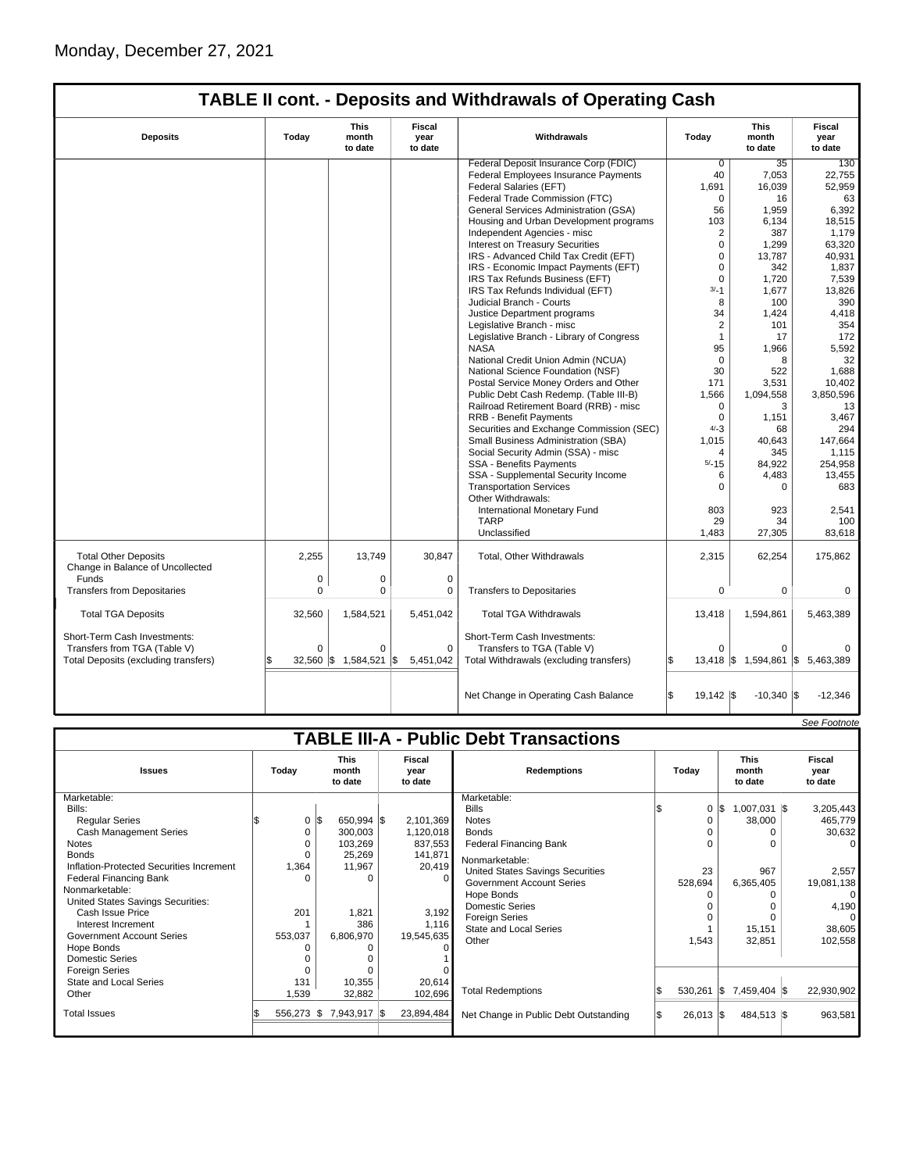|                                                                                                      |                         |                                 |                                  | <b>TABLE II cont. - Deposits and Withdrawals of Operating Cash</b>                                    |                            |                                            |                           |
|------------------------------------------------------------------------------------------------------|-------------------------|---------------------------------|----------------------------------|-------------------------------------------------------------------------------------------------------|----------------------------|--------------------------------------------|---------------------------|
| <b>Deposits</b>                                                                                      | Today                   | <b>This</b><br>month<br>to date | <b>Fiscal</b><br>year<br>to date | Withdrawals                                                                                           | Today                      | <b>This</b><br>month<br>to date            | Fiscal<br>year<br>to date |
|                                                                                                      |                         |                                 |                                  | Federal Deposit Insurance Corp (FDIC)                                                                 | $\Omega$                   | 35                                         | 130                       |
|                                                                                                      |                         |                                 |                                  | Federal Employees Insurance Payments                                                                  | 40                         | 7,053                                      | 22,755                    |
|                                                                                                      |                         |                                 |                                  | Federal Salaries (EFT)                                                                                | 1,691                      | 16,039                                     | 52,959                    |
|                                                                                                      |                         |                                 |                                  | Federal Trade Commission (FTC)                                                                        | $\Omega$                   | 16                                         | 63                        |
|                                                                                                      |                         |                                 |                                  | General Services Administration (GSA)                                                                 | 56                         | 1,959                                      | 6,392                     |
|                                                                                                      |                         |                                 |                                  | Housing and Urban Development programs                                                                | 103                        | 6,134                                      | 18,515                    |
|                                                                                                      |                         |                                 |                                  | Independent Agencies - misc                                                                           | $\overline{2}$             | 387                                        | 1,179                     |
|                                                                                                      |                         |                                 |                                  | Interest on Treasury Securities                                                                       | $\Omega$                   | 1,299                                      | 63,320                    |
|                                                                                                      |                         |                                 |                                  | IRS - Advanced Child Tax Credit (EFT)                                                                 | $\Omega$                   | 13,787                                     | 40,931                    |
|                                                                                                      |                         |                                 |                                  | IRS - Economic Impact Payments (EFT)                                                                  | $\mathbf 0$                | 342                                        | 1,837                     |
|                                                                                                      |                         |                                 |                                  | IRS Tax Refunds Business (EFT)                                                                        | $\Omega$                   | 1,720                                      | 7,539                     |
|                                                                                                      |                         |                                 |                                  | IRS Tax Refunds Individual (EFT)                                                                      | $3/-1$                     | 1,677                                      | 13,826                    |
|                                                                                                      |                         |                                 |                                  | Judicial Branch - Courts                                                                              | 8                          | 100                                        | 390                       |
|                                                                                                      |                         |                                 |                                  | Justice Department programs                                                                           | 34                         | 1,424                                      | 4,418                     |
|                                                                                                      |                         |                                 |                                  | Legislative Branch - misc                                                                             | $\overline{2}$             | 101                                        | 354                       |
|                                                                                                      |                         |                                 |                                  | Legislative Branch - Library of Congress                                                              | $\mathbf{1}$               | 17                                         | 172                       |
|                                                                                                      |                         |                                 |                                  | <b>NASA</b>                                                                                           | 95                         | 1,966                                      | 5,592                     |
|                                                                                                      |                         |                                 |                                  | National Credit Union Admin (NCUA)                                                                    | $\Omega$                   | 8                                          | 32                        |
|                                                                                                      |                         |                                 |                                  | National Science Foundation (NSF)                                                                     | 30                         | 522                                        | 1.688                     |
|                                                                                                      |                         |                                 |                                  | Postal Service Money Orders and Other                                                                 | 171                        | 3,531                                      | 10,402                    |
|                                                                                                      |                         |                                 |                                  | Public Debt Cash Redemp. (Table III-B)                                                                | 1,566                      | 1,094,558                                  | 3,850,596                 |
|                                                                                                      |                         |                                 |                                  | Railroad Retirement Board (RRB) - misc                                                                | $\Omega$                   | 3                                          | 13                        |
|                                                                                                      |                         |                                 |                                  | RRB - Benefit Payments                                                                                | $\Omega$                   | 1,151                                      | 3,467                     |
|                                                                                                      |                         |                                 |                                  | Securities and Exchange Commission (SEC)                                                              | $4/-3$                     | 68                                         | 294                       |
|                                                                                                      |                         |                                 |                                  | Small Business Administration (SBA)                                                                   | 1,015                      | 40.643                                     | 147,664                   |
|                                                                                                      |                         |                                 |                                  | Social Security Admin (SSA) - misc                                                                    | $\overline{4}$             | 345                                        | 1,115                     |
|                                                                                                      |                         |                                 |                                  | SSA - Benefits Payments                                                                               | $5/ - 15$                  | 84,922                                     | 254,958                   |
|                                                                                                      |                         |                                 |                                  | SSA - Supplemental Security Income                                                                    | 6                          | 4,483                                      | 13,455                    |
|                                                                                                      |                         |                                 |                                  | <b>Transportation Services</b>                                                                        | $\Omega$                   | $\Omega$                                   | 683                       |
|                                                                                                      |                         |                                 |                                  | Other Withdrawals:                                                                                    |                            |                                            |                           |
|                                                                                                      |                         |                                 |                                  | International Monetary Fund                                                                           | 803                        | 923                                        | 2.541                     |
|                                                                                                      |                         |                                 |                                  | <b>TARP</b>                                                                                           | 29                         | 34                                         | 100                       |
|                                                                                                      |                         |                                 |                                  | Unclassified                                                                                          | 1,483                      | 27,305                                     | 83,618                    |
| <b>Total Other Deposits</b><br>Change in Balance of Uncollected                                      | 2,255                   | 13,749                          | 30.847                           | Total, Other Withdrawals                                                                              | 2,315                      | 62,254                                     | 175,862                   |
| Funds                                                                                                | 0                       | 0                               | 0                                |                                                                                                       |                            |                                            |                           |
| <b>Transfers from Depositaries</b>                                                                   | 0                       | 0                               | 0                                | <b>Transfers to Depositaries</b>                                                                      | $\mathbf 0$                | $\mathbf 0$                                | 0                         |
| <b>Total TGA Deposits</b>                                                                            | 32,560                  | 1,584,521                       | 5,451,042                        | <b>Total TGA Withdrawals</b>                                                                          | 13,418                     | 1,594,861                                  | 5,463,389                 |
| Short-Term Cash Investments:<br>Transfers from TGA (Table V)<br>Total Deposits (excluding transfers) | $\Omega$<br>$32,560$ \$ | 0<br>1,584,521                  | $\Omega$<br>1\$<br>5,451,042     | Short-Term Cash Investments:<br>Transfers to TGA (Table V)<br>Total Withdrawals (excluding transfers) | $\Omega$                   | $\Omega$<br>13,418 \$1,594,861 \$5,463,389 |                           |
|                                                                                                      |                         |                                 |                                  | Net Change in Operating Cash Balance                                                                  | l\$<br>$19,142$ $\sqrt{3}$ | $-10,340$ $\sqrt{\$}$                      | $-12,346$                 |

|                                               |       |            |     |              |                                 |            |                                       |                    |             |          |                |                                 | See Footnote |                           |
|-----------------------------------------------|-------|------------|-----|--------------|---------------------------------|------------|---------------------------------------|--------------------|-------------|----------|----------------|---------------------------------|--------------|---------------------------|
| <b>TABLE III-A - Public Debt Transactions</b> |       |            |     |              |                                 |            |                                       |                    |             |          |                |                                 |              |                           |
| <b>Issues</b>                                 | Today |            |     |              | <b>This</b><br>month<br>to date |            | Fiscal<br>vear<br>to date             | <b>Redemptions</b> |             | Todav    |                | <b>This</b><br>month<br>to date |              | Fiscal<br>vear<br>to date |
| Marketable:                                   |       |            |     |              |                                 |            | Marketable:                           |                    |             |          |                |                                 |              |                           |
| Bills:                                        |       |            |     |              |                                 |            | <b>Bills</b>                          |                    |             | $0 \le$  | $1,007,031$ \$ |                                 | 3,205,443    |                           |
| <b>Regular Series</b>                         |       | 0          | 1\$ | 650,994 \$   |                                 | 2,101,369  | <b>Notes</b>                          |                    | 0           |          | 38,000         |                                 | 465,779      |                           |
| Cash Management Series                        |       | 0          |     | 300,003      |                                 | 1,120,018  | <b>Bonds</b>                          |                    |             |          |                |                                 | 30,632       |                           |
| Notes                                         |       | O          |     | 103,269      |                                 | 837,553    | <b>Federal Financing Bank</b>         |                    |             |          |                |                                 | 0            |                           |
| <b>Bonds</b>                                  |       | $\Omega$   |     | 25,269       |                                 | 141,871    | Nonmarketable:                        |                    |             |          |                |                                 |              |                           |
| Inflation-Protected Securities Increment      |       | 1,364      |     | 11,967       |                                 | 20,419     | United States Savings Securities      |                    | 23          |          | 967            |                                 | 2,557        |                           |
| <b>Federal Financing Bank</b>                 |       | n          |     | O            |                                 |            | <b>Government Account Series</b>      |                    | 528,694     |          | 6,365,405      |                                 | 19,081,138   |                           |
| Nonmarketable:                                |       |            |     |              |                                 |            | Hope Bonds                            |                    |             |          |                |                                 | 0            |                           |
| United States Savings Securities:             |       |            |     |              |                                 |            | <b>Domestic Series</b>                |                    |             |          |                |                                 | 4,190        |                           |
| Cash Issue Price                              |       | 201        |     | 1,821        |                                 | 3,192      | <b>Foreign Series</b>                 |                    | 0           |          |                |                                 |              |                           |
| Interest Increment                            |       |            |     | 386          |                                 | 1,116      | <b>State and Local Series</b>         |                    |             |          | 15,151         |                                 | 38,605       |                           |
| <b>Government Account Series</b>              |       | 553,037    |     | 6,806,970    |                                 | 19,545,635 | Other                                 |                    | 1,543       |          | 32,851         |                                 | 102,558      |                           |
| Hope Bonds                                    |       |            |     |              |                                 |            |                                       |                    |             |          |                |                                 |              |                           |
| <b>Domestic Series</b>                        |       |            |     |              |                                 |            |                                       |                    |             |          |                |                                 |              |                           |
| <b>Foreign Series</b>                         |       |            |     |              |                                 |            |                                       |                    |             |          |                |                                 |              |                           |
| State and Local Series                        |       | 131        |     | 10,355       |                                 | 20,614     |                                       |                    |             |          |                |                                 |              |                           |
| Other                                         |       | 1,539      |     | 32,882       |                                 | 102,696    | <b>Total Redemptions</b>              |                    | 530,261     | <b>S</b> | 7,459,404 \$   |                                 | 22,930,902   |                           |
| <b>Total Issues</b>                           |       | 556,273 \$ |     | 7,943,917 \$ |                                 | 23,894,484 | Net Change in Public Debt Outstanding |                    | $26,013$ \$ |          | 484,513 \$     |                                 | 963,581      |                           |
|                                               |       |            |     |              |                                 |            |                                       |                    |             |          |                |                                 |              |                           |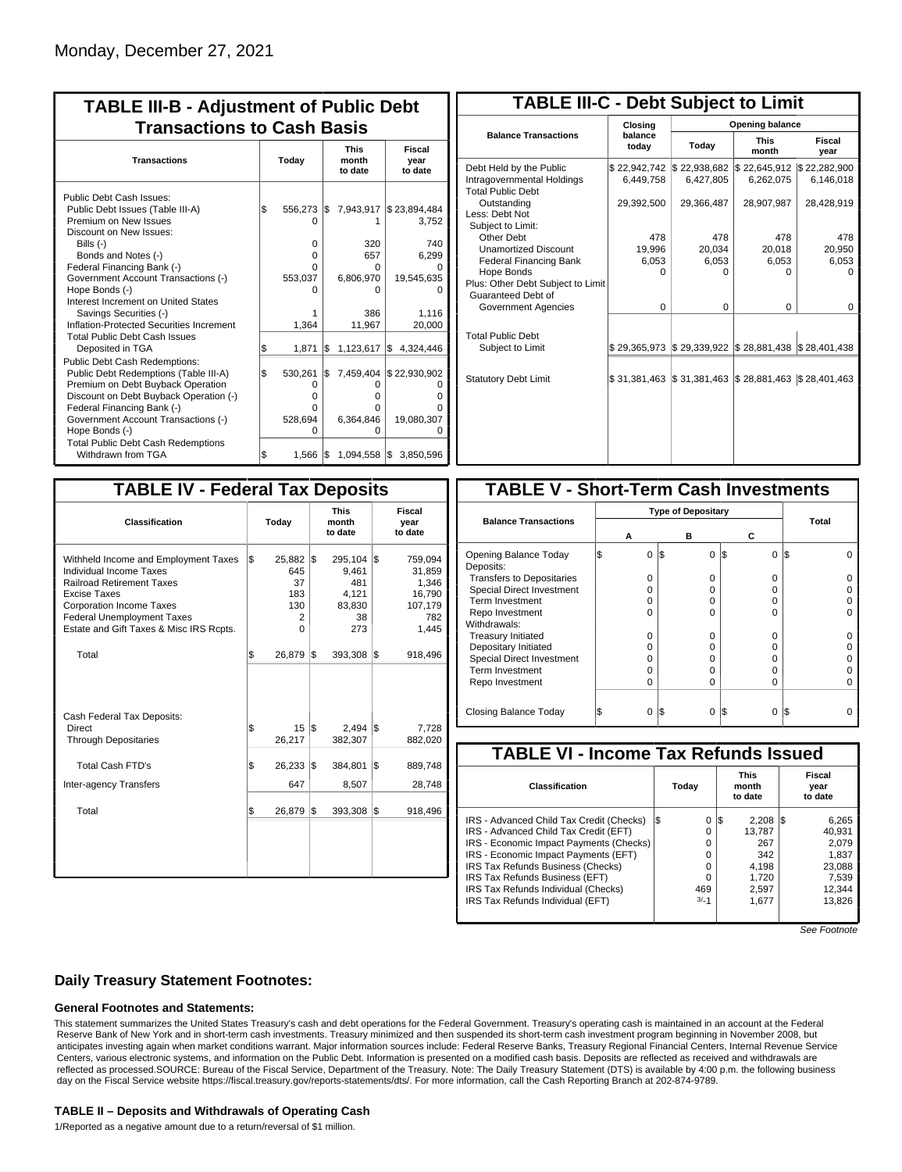| <b>TABLE III-B - Adjustment of Public Debt</b><br><b>Transactions to Cash Basis</b>                                                                                                                                                                                                                                                                          |           |                                                          |            |                                                                   |                                                                              |  |  |  |  |  |  |  |  |  |  |  |  |  |  |                                 |  |                           |
|--------------------------------------------------------------------------------------------------------------------------------------------------------------------------------------------------------------------------------------------------------------------------------------------------------------------------------------------------------------|-----------|----------------------------------------------------------|------------|-------------------------------------------------------------------|------------------------------------------------------------------------------|--|--|--|--|--|--|--|--|--|--|--|--|--|--|---------------------------------|--|---------------------------|
| <b>Transactions</b>                                                                                                                                                                                                                                                                                                                                          | Today     |                                                          |            |                                                                   |                                                                              |  |  |  |  |  |  |  |  |  |  |  |  |  |  | <b>This</b><br>month<br>to date |  | Fiscal<br>year<br>to date |
| Public Debt Cash Issues:<br>Public Debt Issues (Table III-A)<br>Premium on New Issues<br>Discount on New Issues:<br>Bills (-)<br>Bonds and Notes (-)<br>Federal Financing Bank (-)<br>Government Account Transactions (-)<br>Hope Bonds (-)<br>Interest Increment on United States<br>Savings Securities (-)<br>Inflation-Protected Securities Increment     | l\$       | 556,273 \$<br>n<br>$\Omega$<br>0<br>n<br>553,037         |            | 7,943,917<br>320<br>657<br>0<br>6,806,970<br>ŋ<br>386             | \$23,894,484<br>3,752<br>740<br>6.299<br>19,545,635<br>1,116                 |  |  |  |  |  |  |  |  |  |  |  |  |  |  |                                 |  |                           |
| <b>Total Public Debt Cash Issues</b><br>Deposited in TGA<br><b>Public Debt Cash Redemptions:</b><br>Public Debt Redemptions (Table III-A)<br>Premium on Debt Buyback Operation<br>Discount on Debt Buyback Operation (-)<br>Federal Financing Bank (-)<br>Government Account Transactions (-)<br>Hope Bonds (-)<br><b>Total Public Debt Cash Redemptions</b> | \$<br>l\$ | 1,364<br>1,871<br>530,261<br>O<br>o<br>n<br>528,694<br>ი | l\$<br>I\$ | 11,967<br>1,123,617<br>7,459,404<br>O<br>O<br>0<br>6,364,846<br>O | 20,000<br>I\$<br>4,324,446<br>\$22,930,902<br>O<br>0<br>n<br>19,080,307<br>Ω |  |  |  |  |  |  |  |  |  |  |  |  |  |  |                                 |  |                           |
| Withdrawn from TGA                                                                                                                                                                                                                                                                                                                                           | l\$       | $1,566$ $\sqrt{5}$                                       |            |                                                                   | 1,094,558 \$ 3,850,596                                                       |  |  |  |  |  |  |  |  |  |  |  |  |  |  |                                 |  |                           |

| <b>TABLE III-C - Debt Subject to Limit</b>                                        |                           |                           |                           |                           |  |  |  |  |  |  |  |
|-----------------------------------------------------------------------------------|---------------------------|---------------------------|---------------------------|---------------------------|--|--|--|--|--|--|--|
|                                                                                   | Closing                   | <b>Opening balance</b>    |                           |                           |  |  |  |  |  |  |  |
| <b>Balance Transactions</b>                                                       | balance<br>today          | Today                     | <b>This</b><br>month      | Fiscal<br>year            |  |  |  |  |  |  |  |
| Debt Held by the Public<br>Intragovernmental Holdings<br><b>Total Public Debt</b> | \$22,942,742<br>6,449,758 | \$22,938,682<br>6,427,805 | \$22,645,912<br>6,262,075 | \$22,282,900<br>6,146,018 |  |  |  |  |  |  |  |
| Outstanding<br>Less: Debt Not<br>Subject to Limit:                                | 29,392,500                | 29,366,487                | 28,907,987                | 28,428,919                |  |  |  |  |  |  |  |
| Other Debt                                                                        | 478                       | 478                       | 478                       | 478                       |  |  |  |  |  |  |  |
| <b>Unamortized Discount</b>                                                       | 19,996                    | 20.034                    | 20,018                    | 20,950                    |  |  |  |  |  |  |  |
| <b>Federal Financing Bank</b>                                                     | 6,053                     | 6,053                     | 6,053                     | 6,053                     |  |  |  |  |  |  |  |
| Hope Bonds                                                                        | O                         | O                         | n                         | O                         |  |  |  |  |  |  |  |
| Plus: Other Debt Subject to Limit<br>Guaranteed Debt of                           |                           |                           |                           |                           |  |  |  |  |  |  |  |
| Government Agencies                                                               | $\Omega$                  | $\Omega$                  | $\Omega$                  | 0                         |  |  |  |  |  |  |  |
| <b>Total Public Debt</b><br>Subject to Limit                                      | \$29,365,973              | \$29,339,922              | \$28,881,438              | \$28,401,438              |  |  |  |  |  |  |  |
|                                                                                   |                           |                           |                           |                           |  |  |  |  |  |  |  |
| <b>Statutory Debt Limit</b>                                                       | \$31,381,463              | \$31,381,463              | \$28,881,463              | \$28,401,463              |  |  |  |  |  |  |  |
|                                                                                   |                           |                           |                           |                           |  |  |  |  |  |  |  |

| <b>TABLE IV - Federal Tax Deposits</b>                                                                                                                                                                                                        |     |                                                |     |                                                         |     |                                                                 |  |  |  |
|-----------------------------------------------------------------------------------------------------------------------------------------------------------------------------------------------------------------------------------------------|-----|------------------------------------------------|-----|---------------------------------------------------------|-----|-----------------------------------------------------------------|--|--|--|
| <b>Classification</b>                                                                                                                                                                                                                         |     | Today                                          |     | <b>This</b><br>month<br>to date                         |     | Fiscal<br>year<br>to date                                       |  |  |  |
| Withheld Income and Employment Taxes<br>Individual Income Taxes<br><b>Railroad Retirement Taxes</b><br><b>Excise Taxes</b><br><b>Corporation Income Taxes</b><br><b>Federal Unemployment Taxes</b><br>Estate and Gift Taxes & Misc IRS Rcpts. | l\$ | 25,882 \$<br>645<br>37<br>183<br>130<br>2<br>0 |     | 295,104<br>9,461<br>481<br>4.121<br>83,830<br>38<br>273 | l\$ | 759,094<br>31,859<br>1,346<br>16,790<br>107,179<br>782<br>1,445 |  |  |  |
| Total                                                                                                                                                                                                                                         | \$  | 26,879                                         | 1\$ | 393,308                                                 | 1\$ | 918,496                                                         |  |  |  |
| Cash Federal Tax Deposits:<br>Direct<br><b>Through Depositaries</b>                                                                                                                                                                           | \$  | 15<br>26,217                                   | 1\$ | $2,494$ \\$<br>382,307                                  |     | 7,728<br>882,020                                                |  |  |  |
| <b>Total Cash FTD's</b><br><b>Inter-agency Transfers</b>                                                                                                                                                                                      | \$  | 26,233<br>647                                  | 1\$ | 384,801<br>8,507                                        | l\$ | 889,748<br>28,748                                               |  |  |  |
| Total                                                                                                                                                                                                                                         | \$  | 26,879                                         | 1\$ | 393,308                                                 | l\$ | 918,496                                                         |  |  |  |
|                                                                                                                                                                                                                                               |     |                                                |     |                                                         |     |                                                                 |  |  |  |

| <b>TABLE V - Short-Term Cash Investments</b> |          |                           |          |          |  |  |  |  |  |  |
|----------------------------------------------|----------|---------------------------|----------|----------|--|--|--|--|--|--|
|                                              |          | <b>Type of Depositary</b> |          |          |  |  |  |  |  |  |
| <b>Balance Transactions</b>                  | А        | в                         | С        | Total    |  |  |  |  |  |  |
| Opening Balance Today<br>Deposits:           | $\Omega$ | 1\$<br>0                  | 0<br>I\$ | I\$<br>U |  |  |  |  |  |  |
| <b>Transfers to Depositaries</b>             | O        | 0                         | 0        | $\Omega$ |  |  |  |  |  |  |
| Special Direct Investment                    | Ω        | O                         | o        |          |  |  |  |  |  |  |
| <b>Term Investment</b>                       | $\Omega$ | O                         | O        |          |  |  |  |  |  |  |
| Repo Investment                              | O        | ŋ                         | 0        |          |  |  |  |  |  |  |
| Withdrawals:                                 |          |                           |          |          |  |  |  |  |  |  |
| <b>Treasury Initiated</b>                    | U        | O                         | 0        |          |  |  |  |  |  |  |
| Depositary Initiated                         | Ω        | O                         | o        |          |  |  |  |  |  |  |
| <b>Special Direct Investment</b>             | Ω        | O                         | Ω        |          |  |  |  |  |  |  |
| <b>Term Investment</b>                       | Ω        | Ω                         | Ω        |          |  |  |  |  |  |  |
| Repo Investment                              | O        | O                         | O        |          |  |  |  |  |  |  |
|                                              |          |                           |          |          |  |  |  |  |  |  |
| Closing Balance Today                        | $\Omega$ | I\$<br>0                  | 1\$<br>0 | 1\$      |  |  |  |  |  |  |

| <b>TABLE VI - Income Tax Refunds Issued</b> |     |          |                                 |        |     |                           |  |  |  |  |
|---------------------------------------------|-----|----------|---------------------------------|--------|-----|---------------------------|--|--|--|--|
| Classification                              |     | Today    | <b>This</b><br>month<br>to date |        |     | Fiscal<br>year<br>to date |  |  |  |  |
| IRS - Advanced Child Tax Credit (Checks)    | l\$ | $\Omega$ | 1\$                             | 2,208  | I\$ | 6,265                     |  |  |  |  |
| IRS - Advanced Child Tax Credit (EFT)       |     | 0        |                                 | 13.787 |     | 40,931                    |  |  |  |  |
| IRS - Economic Impact Payments (Checks)     |     | 0        |                                 | 267    |     | 2.079                     |  |  |  |  |
| IRS - Economic Impact Payments (EFT)        |     | $\Omega$ |                                 | 342    |     | 1.837                     |  |  |  |  |
| IRS Tax Refunds Business (Checks)           |     | 0        |                                 | 4.198  |     | 23,088                    |  |  |  |  |
| IRS Tax Refunds Business (EFT)              |     | 0        |                                 | 1.720  |     | 7,539                     |  |  |  |  |
| IRS Tax Refunds Individual (Checks)         |     | 469      |                                 | 2,597  |     | 12.344                    |  |  |  |  |
| IRS Tax Refunds Individual (EFT)            |     | $3/-1$   |                                 | 1.677  |     | 13.826                    |  |  |  |  |
|                                             |     |          |                                 |        |     |                           |  |  |  |  |

See Footnote

### **Daily Treasury Statement Footnotes:**

#### **General Footnotes and Statements:**

This statement summarizes the United States Treasury's cash and debt operations for the Federal Government. Treasury's operating cash is maintained in an account at the Federal Reserve Bank of New York and in short-term cash investments. Treasury minimized and then suspended its short-term cash investment program beginning in November 2008, but anticipates investing again when market conditions warrant. Major information sources include: Federal Reserve Banks, Treasury Regional Financial Centers, Internal Revenue Service Centers, various electronic systems, and information on the Public Debt. Information is presented on a modified cash basis. Deposits are reflected as received and withdrawals are reflected as processed.SOURCE: Bureau of the Fiscal Service, Department of the Treasury. Note: The Daily Treasury Statement (DTS) is available by 4:00 p.m. the following business day on the Fiscal Service website https://fiscal.treasury.gov/reports-statements/dts/. For more information, call the Cash Reporting Branch at 202-874-9789.

#### **TABLE II – Deposits and Withdrawals of Operating Cash**

1/Reported as a negative amount due to a return/reversal of \$1 million.